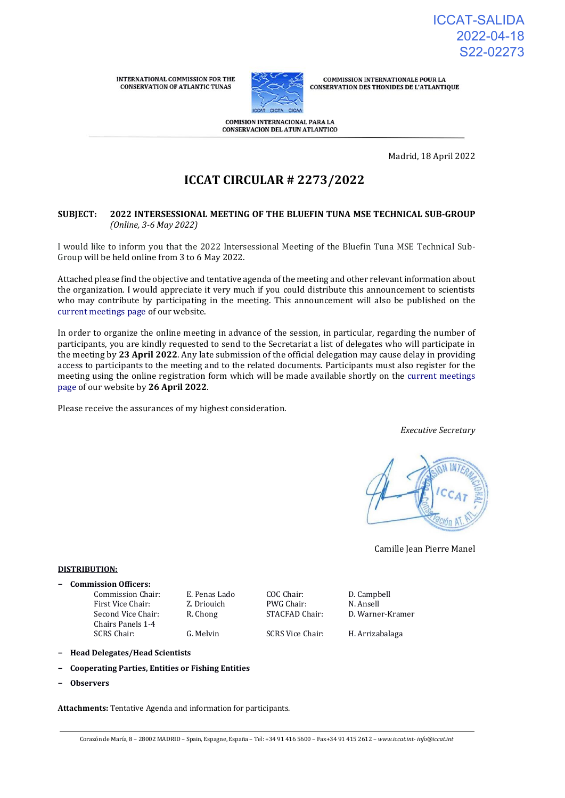**INTERNATIONAL COMMISSION FOR THE CONSERVATION OF ATLANTIC TUNAS** 



**COMMISSION INTERNATIONALE POUR LA CONSERVATION DES THONIDES DE L'ATLANTIQUE** 

**COMISION INTERNACIONAL PARA LA CONSERVACION DEL ATUN ATLANTICO** 

Madrid, 18 April 2022

# **ICCAT CIRCULAR # 2273/2022**

## **SUBJECT: 2022 INTERSESSIONAL MEETING OF THE BLUEFIN TUNA MSE TECHNICAL SUB-GROUP** *(Online, 3-6 May 2022)*

I would like to inform you that the 2022 Intersessional Meeting of the Bluefin Tuna MSE Technical Sub-Group will be held online from 3 to 6 May 2022.

Attached please find the objective and tentative agenda of the meeting and other relevant information about the organization. I would appreciate it very much if you could distribute this announcement to scientists who may contribute by participating in the meeting. This announcement will also be published on the [current meetings page o](https://www.iccat.int/en/Meetings.html)f our website.

In order to organize the online meeting in advance of the session, in particular, regarding the number of participants, you are kindly requested to send to the Secretariat a list of delegates who will participate in the meeting by **23 April 2022**. Any late submission of the official delegation may cause delay in providing access to participants to the meeting and to the related documents. Participants must also register for the meeting using the online registration form which will be made available shortly on the [current meetings](https://www.iccat.int/en/Meetings.html)  [page o](https://www.iccat.int/en/Meetings.html)f our website by **26 April 2022**.

Please receive the assurances of my highest consideration.

*Executive Secretary*



Camille Jean Pierre Manel

#### **DISTRIBUTION:**

- **− Commission Officers:**
	- First Vice Chair: **Z. Driouich** PWG Chair: **N. Ansell** Second Vice Chair: Chairs Panels 1-4 SCRS Chair: G. Melvin SCRS Vice Chair: H. Arrizabalaga

Commission Chair: E. Penas Lado COC Chair: D. Campbell

R. Chong STACFAD Chair: D. Warner-Kramer

- **− Head Delegates/Head Scientists**
- **− Cooperating Parties, Entities or Fishing Entities**
- **− Observers**

**Attachments:** Tentative Agenda and information for participants.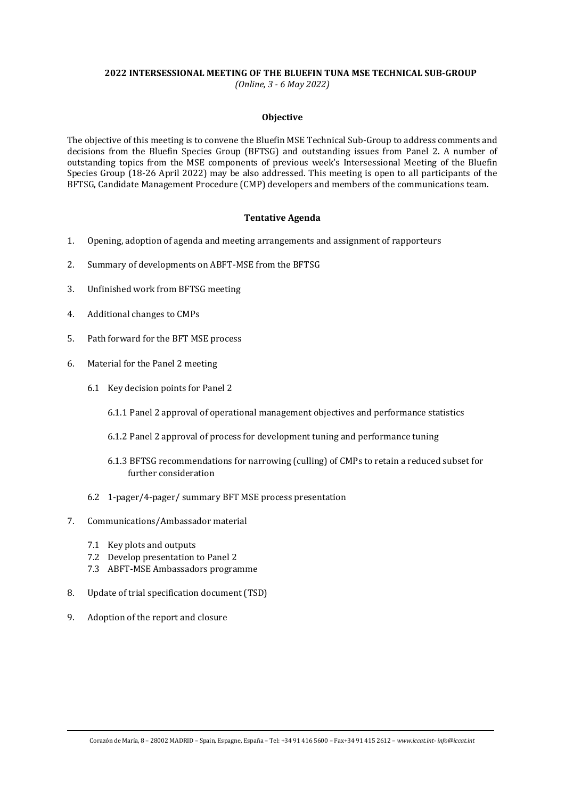#### **2022 INTERSESSIONAL MEETING OF THE BLUEFIN TUNA MSE TECHNICAL SUB-GROUP**

*(Online, 3 - 6 May 2022)*

#### **Objective**

The objective of this meeting is to convene the Bluefin MSE Technical Sub-Group to address comments and decisions from the Bluefin Species Group (BFTSG) and outstanding issues from Panel 2. A number of outstanding topics from the MSE components of previous week's Intersessional Meeting of the Bluefin Species Group (18-26 April 2022) may be also addressed. This meeting is open to all participants of the BFTSG, Candidate Management Procedure (CMP) developers and members of the communications team.

## **Tentative Agenda**

- 1. Opening, adoption of agenda and meeting arrangements and assignment of rapporteurs
- 2. Summary of developments on ABFT-MSE from the BFTSG
- 3. Unfinished work from BFTSG meeting
- 4. Additional changes to CMPs
- 5. Path forward for the BFT MSE process
- 6. Material for the Panel 2 meeting
	- 6.1 Key decision points for Panel 2
		- 6.1.1 Panel 2 approval of operational management objectives and performance statistics
		- 6.1.2 Panel 2 approval of process for development tuning and performance tuning
		- 6.1.3 BFTSG recommendations for narrowing (culling) of CMPs to retain a reduced subset for further consideration
	- 6.2 1-pager/4-pager/ summary BFT MSE process presentation
- 7. Communications/Ambassador material
	- 7.1 Key plots and outputs
	- 7.2 Develop presentation to Panel 2
	- 7.3 ABFT-MSE Ambassadors programme
- 8. Update of trial specification document (TSD)
- 9. Adoption of the report and closure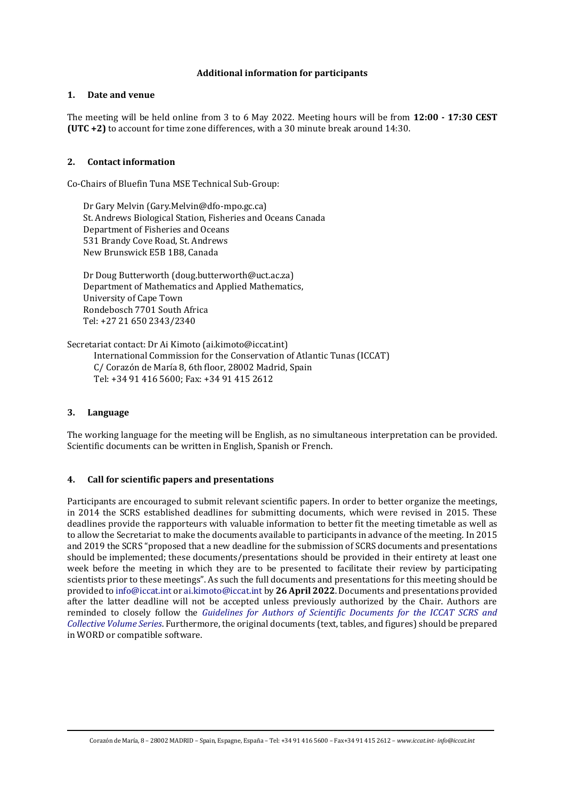## **Additional information for participants**

## **1. Date and venue**

The meeting will be held online from 3 to 6 May 2022. Meeting hours will be from **12:00 - 17:30 CEST (UTC +2)** to account for time zone differences, with a 30 minute break around 14:30.

## **2. Contact information**

Co-Chairs of Bluefin Tuna MSE Technical Sub-Group:

Dr Gary Melvin (Gary.Melvin@dfo-mpo.gc.ca) St. Andrews Biological Station, Fisheries and Oceans Canada Department of Fisheries and Oceans 531 Brandy Cove Road, St. Andrews New Brunswick E5B 1B8, Canada

Dr Doug Butterworth (doug.butterworth@uct.ac.za) Department of Mathematics and Applied Mathematics, University of Cape Town Rondebosch 7701 South Africa Tel: +27 21 650 2343/2340

Secretariat contact: Dr Ai Kimoto (ai.kimoto@iccat.int) International Commission for the Conservation of Atlantic Tunas (ICCAT) C/ Corazón de María 8, 6th floor, 28002 Madrid, Spain Tel: +34 91 416 5600; Fax: +34 91 415 2612

# **3. Language**

The working language for the meeting will be English, as no simultaneous interpretation can be provided. Scientific documents can be written in English, Spanish or French.

#### **4. Call for scientific papers and presentations**

Participants are encouraged to submit relevant scientific papers. In order to better organize the meetings, in 2014 the SCRS established deadlines for submitting documents, which were revised in 2015. These deadlines provide the rapporteurs with valuable information to better fit the meeting timetable as well as to allow the Secretariat to make the documents available to participants in advance of the meeting. In 2015 and 2019 the SCRS "proposed that a new deadline for the submission of SCRS documents and presentations should be implemented; these documents/presentations should be provided in their entirety at least one week before the meeting in which they are to be presented to facilitate their review by participating scientists prior to these meetings". As such the full documents and presentations for this meeting should be provided t[o info@iccat.int](mailto:info@iccat.int) o[r ai.kimoto@iccat.int](mailto:ai.kimoto@iccat.int) by **26 April 2022**. Documents and presentations provided after the latter deadline will not be accepted unless previously authorized by the Chair. Authors are reminded to closely follow the *[Guidelines for Authors of Scientific Documents for the ICCAT SCRS and](https://www.iccat.int/Documents/SCRS/Other/Guide_ColVol_ENG.pdf)  [Collective Volume Series](https://www.iccat.int/Documents/SCRS/Other/Guide_ColVol_ENG.pdf)*. Furthermore, the original documents (text, tables, and figures) should be prepared in WORD or compatible software.